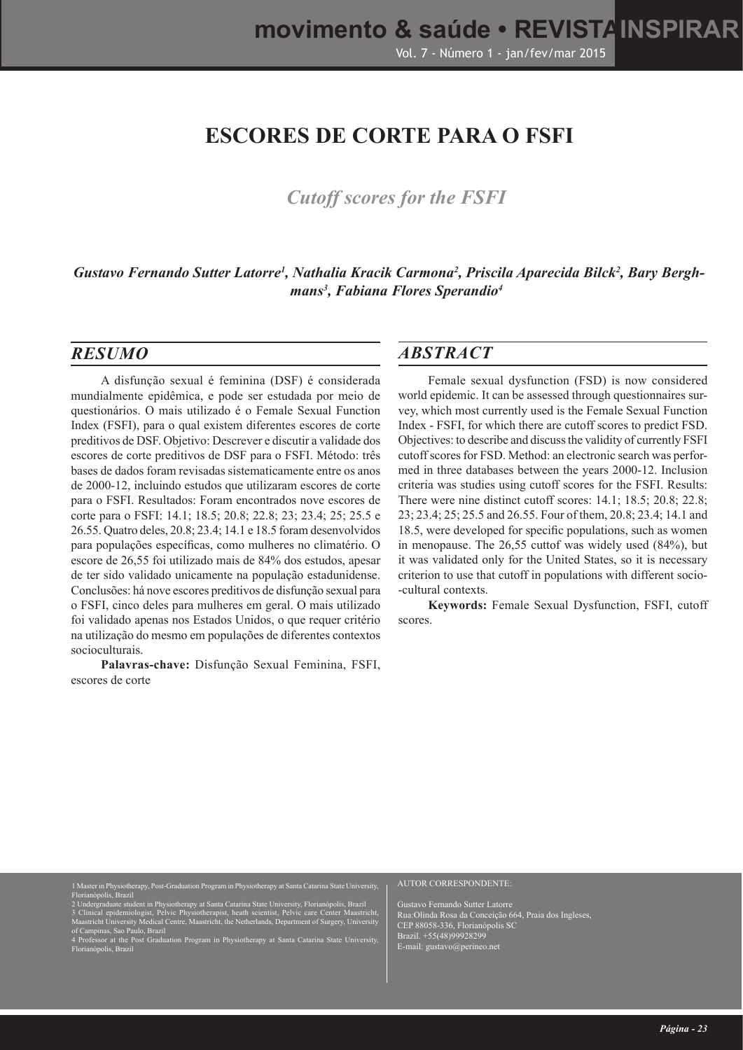# **ESCORES DE CORTE PARA O FSFI**

## *Cutoff scores for the FSFI*

Gustavo Fernando Sutter Latorre<sup>1</sup>, Nathalia Kracik Carmona<sup>2</sup>, Priscila Aparecida Bilck<sup>2</sup>, Bary Bergh*mans3 , Fabiana Flores Sperandio4*

#### *RESUMO*

A disfunção sexual é feminina (DSF) é considerada mundialmente epidêmica, e pode ser estudada por meio de questionários. O mais utilizado é o Female Sexual Function Index (FSFI), para o qual existem diferentes escores de corte preditivos de DSF. Objetivo: Descrever e discutir a validade dos escores de corte preditivos de DSF para o FSFI. Método: três bases de dados foram revisadas sistematicamente entre os anos de 2000-12, incluindo estudos que utilizaram escores de corte para o FSFI. Resultados: Foram encontrados nove escores de corte para o FSFI: 14.1; 18.5; 20.8; 22.8; 23; 23.4; 25; 25.5 e 26.55. Quatro deles, 20.8; 23.4; 14.1 e 18.5 foram desenvolvidos para populações específicas, como mulheres no climatério. O escore de 26,55 foi utilizado mais de 84% dos estudos, apesar de ter sido validado unicamente na população estadunidense. Conclusões: há nove escores preditivos de disfunção sexual para o FSFI, cinco deles para mulheres em geral. O mais utilizado foi validado apenas nos Estados Unidos, o que requer critério na utilização do mesmo em populações de diferentes contextos socioculturais.

**Palavras-chave:** Disfunção Sexual Feminina, FSFI, escores de corte

#### *ABSTRACT*

Female sexual dysfunction (FSD) is now considered world epidemic. It can be assessed through questionnaires survey, which most currently used is the Female Sexual Function Index - FSFI, for which there are cutoff scores to predict FSD. Objectives: to describe and discuss the validity of currently FSFI cutoff scores for FSD. Method: an electronic search was performed in three databases between the years 2000-12. Inclusion criteria was studies using cutoff scores for the FSFI. Results: There were nine distinct cutoff scores: 14.1; 18.5; 20.8; 22.8; 23; 23.4; 25; 25.5 and 26.55. Four of them, 20.8; 23.4; 14.1 and 18.5, were developed for specific populations, such as women in menopause. The 26,55 cuttof was widely used (84%), but it was validated only for the United States, so it is necessary criterion to use that cutoff in populations with different socio- -cultural contexts.

**Keywords:** Female Sexual Dysfunction, FSFI, cutoff scores.

Florianópolis, Brazil

2 Undergraduate student in Physiotherapy at Santa Catarina State University, Florianópolis, Brazil

rapy, Post-Graduation Program in Physiotherapy at Santa Catarina State University

- 3 Clinical epidemiologist, Pelvic Physiotherapist, heath scientist, Pelvic care Center Maastricht, Maastricht University Medical Centre, Maastricht, the Netherlands, Department of Surgery, University of Campinas, Sao Paulo, Brazil
- 4 Professor at the Post Graduation Program in Physiotherapy at Santa Catarina State University, Florianópolis, Brazil

#### AUTOR CORRESPONDENTE:

Gustavo Fernando Sutter Latorre Rua:Olinda Rosa da Conceição 664, Praia dos Ingleses, CEP 88058-336, Florianópolis SC Brazil. +55(48)99928299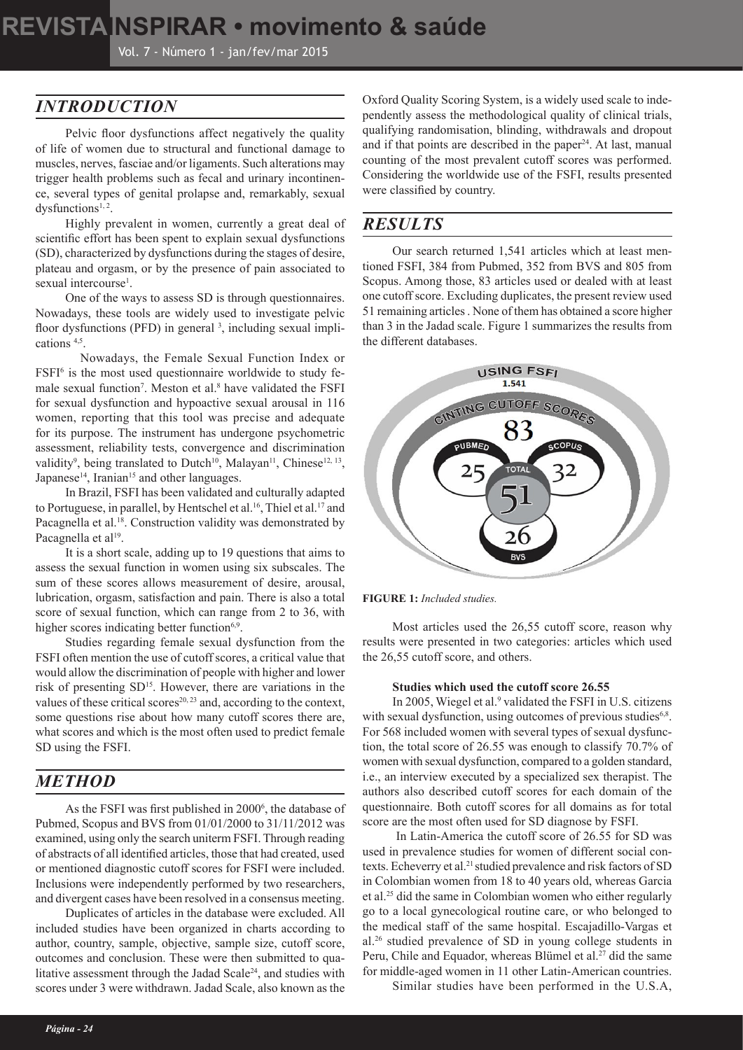# **REVISTAINSPIRAR • movimento & saúde movimento & saúde • REVISTAINSPIRAR**

Vol. 7 - Número 1 - jan/fev/mar 2015

## *INTRODUCTION*

Pelvic floor dysfunctions affect negatively the quality of life of women due to structural and functional damage to muscles, nerves, fasciae and/or ligaments. Such alterations may trigger health problems such as fecal and urinary incontinence, several types of genital prolapse and, remarkably, sexual dysfunctions<sup>1, 2</sup>.

Highly prevalent in women, currently a great deal of scientific effort has been spent to explain sexual dysfunctions (SD), characterized by dysfunctions during the stages of desire, plateau and orgasm, or by the presence of pain associated to sexual intercourse<sup>1</sup>.

One of the ways to assess SD is through questionnaires. Nowadays, these tools are widely used to investigate pelvic floor dysfunctions (PFD) in general <sup>3</sup>, including sexual implications 4,5.

Nowadays, the Female Sexual Function Index or FSFI<sup>6</sup> is the most used questionnaire worldwide to study female sexual function<sup>7</sup>. Meston et al.<sup>8</sup> have validated the FSFI for sexual dysfunction and hypoactive sexual arousal in 116 women, reporting that this tool was precise and adequate for its purpose. The instrument has undergone psychometric assessment, reliability tests, convergence and discrimination validity<sup>9</sup>, being translated to Dutch<sup>10</sup>, Malayan<sup>11</sup>, Chinese<sup>12, 13</sup>, Japanese<sup>14</sup>, Iranian<sup>15</sup> and other languages.

In Brazil, FSFI has been validated and culturally adapted to Portuguese, in parallel, by Hentschel et al.<sup>16</sup>, Thiel et al.<sup>17</sup> and Pacagnella et al.<sup>18</sup>. Construction validity was demonstrated by Pacagnella et al<sup>19</sup>.

It is a short scale, adding up to 19 questions that aims to assess the sexual function in women using six subscales. The sum of these scores allows measurement of desire, arousal, lubrication, orgasm, satisfaction and pain. There is also a total score of sexual function, which can range from 2 to 36, with higher scores indicating better function<sup>6,9</sup>.

Studies regarding female sexual dysfunction from the FSFI often mention the use of cutoff scores, a critical value that would allow the discrimination of people with higher and lower risk of presenting SD<sup>15</sup>. However, there are variations in the values of these critical scores $20, 23$  and, according to the context, some questions rise about how many cutoff scores there are, what scores and which is the most often used to predict female SD using the FSFI.

## *METHOD*

As the FSFI was first published in 2000<sup>6</sup>, the database of Pubmed, Scopus and BVS from 01/01/2000 to 31/11/2012 was examined, using only the search uniterm FSFI. Through reading of abstracts of all identified articles, those that had created, used or mentioned diagnostic cutoff scores for FSFI were included. Inclusions were independently performed by two researchers, and divergent cases have been resolved in a consensus meeting.

Duplicates of articles in the database were excluded. All included studies have been organized in charts according to author, country, sample, objective, sample size, cutoff score, outcomes and conclusion. These were then submitted to qualitative assessment through the Jadad Scale<sup>24</sup>, and studies with scores under 3 were withdrawn. Jadad Scale, also known as the

Oxford Quality Scoring System, is a widely used scale to independently assess the methodological quality of clinical trials, qualifying randomisation, blinding, withdrawals and dropout and if that points are described in the paper<sup>24</sup>. At last, manual counting of the most prevalent cutoff scores was performed. Considering the worldwide use of the FSFI, results presented were classified by country.

#### *RESULTS*

Our search returned 1,541 articles which at least mentioned FSFI, 384 from Pubmed, 352 from BVS and 805 from Scopus. Among those, 83 articles used or dealed with at least one cutoff score. Excluding duplicates, the present review used 51 remaining articles . None of them has obtained a score higher than 3 in the Jadad scale. Figure 1 summarizes the results from the different databases.





Most articles used the 26,55 cutoff score, reason why results were presented in two categories: articles which used the 26,55 cutoff score, and others.

#### **Studies which used the cutoff score 26.55**

In 2005, Wiegel et al.<sup>9</sup> validated the FSFI in U.S. citizens with sexual dysfunction, using outcomes of previous studies $6,8$ . For 568 included women with several types of sexual dysfunction, the total score of 26.55 was enough to classify 70.7% of women with sexual dysfunction, compared to a golden standard, i.e., an interview executed by a specialized sex therapist. The authors also described cutoff scores for each domain of the questionnaire. Both cutoff scores for all domains as for total score are the most often used for SD diagnose by FSFI.

 In Latin-America the cutoff score of 26.55 for SD was used in prevalence studies for women of different social contexts. Echeverry et al.<sup>21</sup> studied prevalence and risk factors of SD in Colombian women from 18 to 40 years old, whereas Garcia et al.25 did the same in Colombian women who either regularly go to a local gynecological routine care, or who belonged to the medical staff of the same hospital. Escajadillo-Vargas et al.26 studied prevalence of SD in young college students in Peru, Chile and Equador, whereas Blümel et al.<sup>27</sup> did the same for middle-aged women in 11 other Latin-American countries.

Similar studies have been performed in the U.S.A,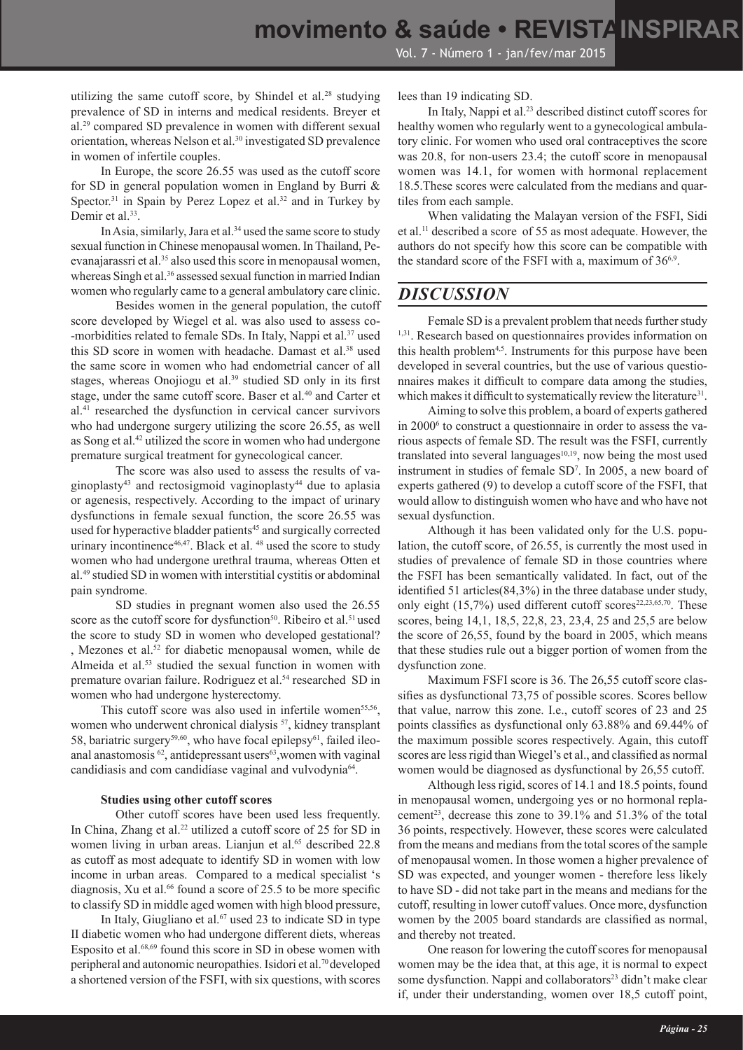utilizing the same cutoff score, by Shindel et al.<sup>28</sup> studying prevalence of SD in interns and medical residents. Breyer et al.29 compared SD prevalence in women with different sexual orientation, whereas Nelson et al.<sup>30</sup> investigated SD prevalence in women of infertile couples.

In Europe, the score 26.55 was used as the cutoff score for SD in general population women in England by Burri & Spector.<sup>31</sup> in Spain by Perez Lopez et al.<sup>32</sup> and in Turkey by Demir et al.<sup>33</sup>.

In Asia, similarly, Jara et al.<sup>34</sup> used the same score to study sexual function in Chinese menopausal women. In Thailand, Peevanajarassri et al.<sup>35</sup> also used this score in menopausal women, whereas Singh et al.<sup>36</sup> assessed sexual function in married Indian women who regularly came to a general ambulatory care clinic.

Besides women in the general population, the cutoff score developed by Wiegel et al. was also used to assess co- -morbidities related to female SDs. In Italy, Nappi et al.<sup>37</sup> used this SD score in women with headache. Damast et al.<sup>38</sup> used the same score in women who had endometrial cancer of all stages, whereas Onojiogu et al.<sup>39</sup> studied SD only in its first stage, under the same cutoff score. Baser et al.40 and Carter et al.41 researched the dysfunction in cervical cancer survivors who had undergone surgery utilizing the score 26.55, as well as Song et al.<sup>42</sup> utilized the score in women who had undergone premature surgical treatment for gynecological cancer.

The score was also used to assess the results of vaginoplasty<sup>43</sup> and rectosigmoid vaginoplasty<sup>44</sup> due to aplasia or agenesis, respectively. According to the impact of urinary dysfunctions in female sexual function, the score 26.55 was used for hyperactive bladder patients<sup>45</sup> and surgically corrected urinary incontinence<sup>46,47</sup>. Black et al. <sup>48</sup> used the score to study women who had undergone urethral trauma, whereas Otten et al.49 studied SD in women with interstitial cystitis or abdominal pain syndrome.

SD studies in pregnant women also used the 26.55 score as the cutoff score for dysfunction<sup>50</sup>. Ribeiro et al.<sup>51</sup> used the score to study SD in women who developed gestational? , Mezones et al.52 for diabetic menopausal women, while de Almeida et al.<sup>53</sup> studied the sexual function in women with premature ovarian failure. Rodriguez et al.<sup>54</sup> researched SD in women who had undergone hysterectomy.

This cutoff score was also used in infertile women<sup>55,56</sup>, women who underwent chronical dialysis <sup>57</sup>, kidney transplant 58, bariatric surgery<sup>59,60</sup>, who have focal epilepsy<sup>61</sup>, failed ileoanal anastomosis<sup>62</sup>, antidepressant users<sup>63</sup>, women with vaginal candidiasis and com candidíase vaginal and vulvodynia<sup>64</sup>.

#### **Studies using other cutoff scores**

Other cutoff scores have been used less frequently. In China, Zhang et al.<sup>22</sup> utilized a cutoff score of 25 for SD in women living in urban areas. Lianjun et al.<sup>65</sup> described 22.8 as cutoff as most adequate to identify SD in women with low income in urban areas. Compared to a medical specialist 's diagnosis, Xu et al.<sup>66</sup> found a score of 25.5 to be more specific to classify SD in middle aged women with high blood pressure,

In Italy, Giugliano et al. $67$  used 23 to indicate SD in type II diabetic women who had undergone different diets, whereas Esposito et al.68,69 found this score in SD in obese women with peripheral and autonomic neuropathies. Isidori et al.70 developed a shortened version of the FSFI, with six questions, with scores lees than 19 indicating SD.

In Italy, Nappi et al.23 described distinct cutoff scores for healthy women who regularly went to a gynecological ambulatory clinic. For women who used oral contraceptives the score was 20.8, for non-users 23.4; the cutoff score in menopausal women was 14.1, for women with hormonal replacement 18.5.These scores were calculated from the medians and quartiles from each sample.

When validating the Malayan version of the FSFI, Sidi et al.11 described a score of 55 as most adequate. However, the authors do not specify how this score can be compatible with the standard score of the FSFI with a, maximum of  $36<sup>6,9</sup>$ .

#### *DISCUSSION*

Female SD is a prevalent problem that needs further study <sup>1,31</sup>. Research based on questionnaires provides information on this health problem<sup>4,5</sup>. Instruments for this purpose have been developed in several countries, but the use of various questionnaires makes it difficult to compare data among the studies, which makes it difficult to systematically review the literature<sup>31</sup>.

Aiming to solve this problem, a board of experts gathered in 20006 to construct a questionnaire in order to assess the various aspects of female SD. The result was the FSFI, currently translated into several languages<sup>10,19</sup>, now being the most used instrument in studies of female SD7 . In 2005, a new board of experts gathered (9) to develop a cutoff score of the FSFI, that would allow to distinguish women who have and who have not sexual dysfunction.

Although it has been validated only for the U.S. population, the cutoff score, of 26.55, is currently the most used in studies of prevalence of female SD in those countries where the FSFI has been semantically validated. In fact, out of the identified 51 articles(84,3%) in the three database under study, only eight  $(15,7%)$  used different cutoff scores<sup>22,23,65,70</sup>. These scores, being 14,1, 18,5, 22,8, 23, 23,4, 25 and 25,5 are below the score of 26,55, found by the board in 2005, which means that these studies rule out a bigger portion of women from the dysfunction zone.

Maximum FSFI score is 36. The 26,55 cutoff score classifies as dysfunctional 73,75 of possible scores. Scores bellow that value, narrow this zone. I.e., cutoff scores of 23 and 25 points classifies as dysfunctional only 63.88% and 69.44% of the maximum possible scores respectively. Again, this cutoff scores are less rigid than Wiegel's et al., and classified as normal women would be diagnosed as dysfunctional by 26,55 cutoff.

Although less rigid, scores of 14.1 and 18.5 points, found in menopausal women, undergoing yes or no hormonal replacement<sup>23</sup>, decrease this zone to  $39.1\%$  and  $51.3\%$  of the total 36 points, respectively. However, these scores were calculated from the means and medians from the total scores of the sample of menopausal women. In those women a higher prevalence of SD was expected, and younger women - therefore less likely to have SD - did not take part in the means and medians for the cutoff, resulting in lower cutoff values. Once more, dysfunction women by the 2005 board standards are classified as normal, and thereby not treated.

One reason for lowering the cutoff scores for menopausal women may be the idea that, at this age, it is normal to expect some dysfunction. Nappi and collaborators<sup>23</sup> didn't make clear if, under their understanding, women over 18,5 cutoff point,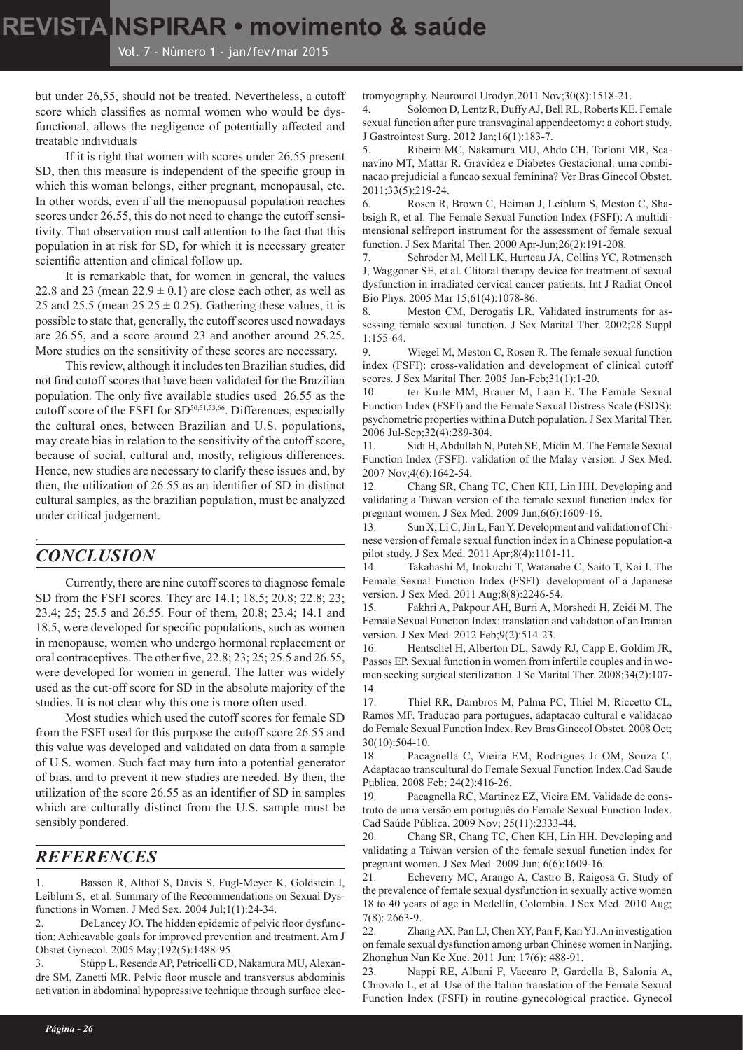but under 26,55, should not be treated. Nevertheless, a cutoff score which classifies as normal women who would be dysfunctional, allows the negligence of potentially affected and treatable individuals

If it is right that women with scores under 26.55 present SD, then this measure is independent of the specific group in which this woman belongs, either pregnant, menopausal, etc. In other words, even if all the menopausal population reaches scores under 26.55, this do not need to change the cutoff sensitivity. That observation must call attention to the fact that this population in at risk for SD, for which it is necessary greater scientific attention and clinical follow up.

It is remarkable that, for women in general, the values 22.8 and 23 (mean  $22.9 \pm 0.1$ ) are close each other, as well as 25 and 25.5 (mean  $25.25 \pm 0.25$ ). Gathering these values, it is possible to state that, generally, the cutoff scores used nowadays are 26.55, and a score around 23 and another around 25.25. More studies on the sensitivity of these scores are necessary.

This review, although it includes ten Brazilian studies, did not find cutoff scores that have been validated for the Brazilian population. The only five available studies used 26.55 as the cutoff score of the FSFI for SD50,51,53,66. Differences, especially the cultural ones, between Brazilian and U.S. populations, may create bias in relation to the sensitivity of the cutoff score, because of social, cultural and, mostly, religious differences. Hence, new studies are necessary to clarify these issues and, by then, the utilization of 26.55 as an identifier of SD in distinct cultural samples, as the brazilian population, must be analyzed under critical judgement.

## *CONCLUSION*

.

Currently, there are nine cutoff scores to diagnose female SD from the FSFI scores. They are 14.1; 18.5; 20.8; 22.8; 23; 23.4; 25; 25.5 and 26.55. Four of them, 20.8; 23.4; 14.1 and 18.5, were developed for specific populations, such as women in menopause, women who undergo hormonal replacement or oral contraceptives. The other five, 22.8; 23; 25; 25.5 and 26.55, were developed for women in general. The latter was widely used as the cut-off score for SD in the absolute majority of the studies. It is not clear why this one is more often used.

Most studies which used the cutoff scores for female SD from the FSFI used for this purpose the cutoff score 26.55 and this value was developed and validated on data from a sample of U.S. women. Such fact may turn into a potential generator of bias, and to prevent it new studies are needed. By then, the utilization of the score 26.55 as an identifier of SD in samples which are culturally distinct from the U.S. sample must be sensibly pondered.

## *REFERENCES*

1. Basson R, Althof S, Davis S, Fugl-Meyer K, Goldstein I, Leiblum S, et al. Summary of the Recommendations on Sexual Dysfunctions in Women. J Med Sex. 2004 Jul;1(1):24-34.

2. DeLancey JO. The hidden epidemic of pelvic floor dysfunction: Achieavable goals for improved prevention and treatment. Am J Obstet Gynecol. 2005 May;192(5):1488-95.

3. Stüpp L, Resende AP, Petricelli CD, Nakamura MU, Alexandre SM, Zanetti MR. Pelvic floor muscle and transversus abdominis activation in abdominal hypopressive technique through surface electromyography. Neurourol Urodyn.2011 Nov;30(8):1518-21.

4. Solomon D, Lentz R, Duffy AJ, Bell RL, Roberts KE. Female sexual function after pure transvaginal appendectomy: a cohort study. J Gastrointest Surg. 2012 Jan;16(1):183-7.

5. Ribeiro MC, Nakamura MU, Abdo CH, Torloni MR, Scanavino MT, Mattar R. Gravidez e Diabetes Gestacional: uma combinacao prejudicial a funcao sexual feminina? Ver Bras Ginecol Obstet. 2011;33(5):219-24.

6. Rosen R, Brown C, Heiman J, Leiblum S, Meston C, Shabsigh R, et al. The Female Sexual Function Index (FSFI): A multidimensional selfreport instrument for the assessment of female sexual function. J Sex Marital Ther. 2000 Apr-Jun;26(2):191-208.

7. Schroder M, Mell LK, Hurteau JA, Collins YC, Rotmensch J, Waggoner SE, et al. Clitoral therapy device for treatment of sexual dysfunction in irradiated cervical cancer patients. Int J Radiat Oncol Bio Phys. 2005 Mar 15;61(4):1078-86.

8. Meston CM, Derogatis LR. Validated instruments for assessing female sexual function. J Sex Marital Ther. 2002;28 Suppl 1:155-64.

9. Wiegel M, Meston C, Rosen R. The female sexual function index (FSFI): cross-validation and development of clinical cutoff scores. J Sex Marital Ther. 2005 Jan-Feb;31(1):1-20.

10. ter Kuile MM, Brauer M, Laan E. The Female Sexual Function Index (FSFI) and the Female Sexual Distress Scale (FSDS): psychometric properties within a Dutch population. J Sex Marital Ther. 2006 Jul-Sep;32(4):289-304.

11. Sidi H, Abdullah N, Puteh SE, Midin M. The Female Sexual Function Index (FSFI): validation of the Malay version. J Sex Med. 2007 Nov;4(6):1642-54.

12. Chang SR, Chang TC, Chen KH, Lin HH. Developing and validating a Taiwan version of the female sexual function index for pregnant women. J Sex Med. 2009 Jun;6(6):1609-16.

13. Sun X, Li C, Jin L, Fan Y. Development and validation of Chinese version of female sexual function index in a Chinese population-a pilot study. J Sex Med. 2011 Apr;8(4):1101-11.

14. Takahashi M, Inokuchi T, Watanabe C, Saito T, Kai I. The Female Sexual Function Index (FSFI): development of a Japanese version. J Sex Med. 2011 Aug;8(8):2246-54.

15. Fakhri A, Pakpour AH, Burri A, Morshedi H, Zeidi M. The Female Sexual Function Index: translation and validation of an Iranian version. J Sex Med. 2012 Feb;9(2):514-23.

16. Hentschel H, Alberton DL, Sawdy RJ, Capp E, Goldim JR, Passos EP. Sexual function in women from infertile couples and in women seeking surgical sterilization. J Se Marital Ther. 2008;34(2):107- 14.

17. Thiel RR, Dambros M, Palma PC, Thiel M, Riccetto CL, Ramos MF. Traducao para portugues, adaptacao cultural e validacao do Female Sexual Function Index. Rev Bras Ginecol Obstet. 2008 Oct; 30(10):504-10.

18. Pacagnella C, Vieira EM, Rodrigues Jr OM, Souza C. Adaptacao transcultural do Female Sexual Function Index.Cad Saude Publica. 2008 Feb; 24(2):416-26.

19. Pacagnella RC, Martinez EZ, Vieira EM. Validade de construto de uma versão em português do Female Sexual Function Index. Cad Saúde Pública. 2009 Nov; 25(11):2333-44.

20. Chang SR, Chang TC, Chen KH, Lin HH. Developing and validating a Taiwan version of the female sexual function index for pregnant women. J Sex Med. 2009 Jun; 6(6):1609-16.

21. Echeverry MC, Arango A, Castro B, Raigosa G. Study of the prevalence of female sexual dysfunction in sexually active women 18 to 40 years of age in Medellín, Colombia. J Sex Med. 2010 Aug; 7(8): 2663-9.

22. Zhang AX, Pan LJ, Chen XY, Pan F, Kan YJ. An investigation on female sexual dysfunction among urban Chinese women in Nanjing. Zhonghua Nan Ke Xue. 2011 Jun; 17(6): 488-91.

23. Nappi RE, Albani F, Vaccaro P, Gardella B, Salonia A, Chiovalo L, et al. Use of the Italian translation of the Female Sexual Function Index (FSFI) in routine gynecological practice. Gynecol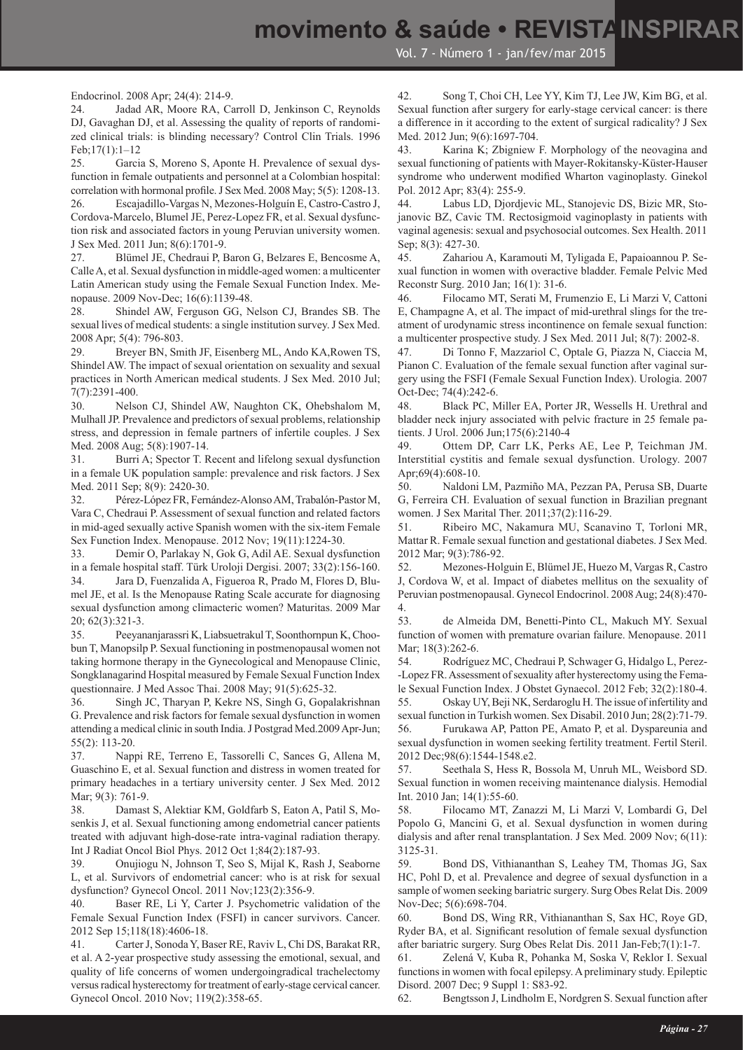Endocrinol. 2008 Apr; 24(4): 214-9.

24. Jadad AR, Moore RA, Carroll D, Jenkinson C, Reynolds DJ, Gavaghan DJ, et al. Assessing the quality of reports of randomized clinical trials: is blinding necessary? Control Clin Trials. 1996 Feb;17(1):1–12

25. Garcia S, Moreno S, Aponte H. Prevalence of sexual dysfunction in female outpatients and personnel at a Colombian hospital: correlation with hormonal profile. J Sex Med. 2008 May; 5(5): 1208-13.

26. Escajadillo-Vargas N, Mezones-Holguín E, Castro-Castro J, Cordova-Marcelo, Blumel JE, Perez-Lopez FR, et al. Sexual dysfunction risk and associated factors in young Peruvian university women. J Sex Med. 2011 Jun; 8(6):1701-9.

27. Blümel JE, Chedraui P, Baron G, Belzares E, Bencosme A, Calle A, et al. Sexual dysfunction in middle-aged women: a multicenter Latin American study using the Female Sexual Function Index. Menopause. 2009 Nov-Dec; 16(6):1139-48.

28. Shindel AW, Ferguson GG, Nelson CJ, Brandes SB. The sexual lives of medical students: a single institution survey. J Sex Med. 2008 Apr; 5(4): 796-803.

29. Breyer BN, Smith JF, Eisenberg ML, Ando KA,Rowen TS, Shindel AW. The impact of sexual orientation on sexuality and sexual practices in North American medical students. J Sex Med. 2010 Jul; 7(7):2391-400.

30. Nelson CJ, Shindel AW, Naughton CK, Ohebshalom M, Mulhall JP. Prevalence and predictors of sexual problems, relationship stress, and depression in female partners of infertile couples. J Sex Med. 2008 Aug; 5(8):1907-14.

31. Burri A; Spector T. Recent and lifelong sexual dysfunction in a female UK population sample: prevalence and risk factors. J Sex Med. 2011 Sep; 8(9): 2420-30.

32. Pérez-López FR, Fernández-Alonso AM, Trabalón-Pastor M, Vara C, Chedraui P. Assessment of sexual function and related factors in mid-aged sexually active Spanish women with the six-item Female Sex Function Index. Menopause. 2012 Nov; 19(11):1224-30.

33. Demir O, Parlakay N, Gok G, Adil AE. Sexual dysfunction in a female hospital staff. Türk Uroloji Dergisi. 2007; 33(2):156-160. 34. Jara D, Fuenzalida A, Figueroa R, Prado M, Flores D, Blumel JE, et al. Is the Menopause Rating Scale accurate for diagnosing sexual dysfunction among climacteric women? Maturitas. 2009 Mar 20; 62(3):321-3.

35. Peeyananjarassri K, Liabsuetrakul T, Soonthornpun K, Choobun T, Manopsilp P. Sexual functioning in postmenopausal women not taking hormone therapy in the Gynecological and Menopause Clinic, Songklanagarind Hospital measured by Female Sexual Function Index questionnaire. J Med Assoc Thai. 2008 May; 91(5):625-32.

36. Singh JC, Tharyan P, Kekre NS, Singh G, Gopalakrishnan G. Prevalence and risk factors for female sexual dysfunction in women attending a medical clinic in south India. J Postgrad Med.2009 Apr-Jun; 55(2): 113-20.

37. Nappi RE, Terreno E, Tassorelli C, Sances G, Allena M, Guaschino E, et al. Sexual function and distress in women treated for primary headaches in a tertiary university center. J Sex Med. 2012 Mar; 9(3): 761-9.

38. Damast S, Alektiar KM, Goldfarb S, Eaton A, Patil S, Mosenkis J, et al. Sexual functioning among endometrial cancer patients treated with adjuvant high-dose-rate intra-vaginal radiation therapy. Int J Radiat Oncol Biol Phys. 2012 Oct 1;84(2):187-93.

39. Onujiogu N, Johnson T, Seo S, Mijal K, Rash J, Seaborne L, et al. Survivors of endometrial cancer: who is at risk for sexual dysfunction? Gynecol Oncol. 2011 Nov;123(2):356-9.

40. Baser RE, Li Y, Carter J. Psychometric validation of the Female Sexual Function Index (FSFI) in cancer survivors. Cancer. 2012 Sep 15;118(18):4606-18.

41. Carter J, Sonoda Y, Baser RE, Raviv L, Chi DS, Barakat RR, et al. A 2-year prospective study assessing the emotional, sexual, and quality of life concerns of women undergoingradical trachelectomy versus radical hysterectomy for treatment of early-stage cervical cancer. Gynecol Oncol. 2010 Nov; 119(2):358-65.

42. Song T, Choi CH, Lee YY, Kim TJ, Lee JW, Kim BG, et al. Sexual function after surgery for early-stage cervical cancer: is there a difference in it according to the extent of surgical radicality? J Sex Med. 2012 Jun; 9(6):1697-704.

43. Karina K; Zbigniew F. Morphology of the neovagina and sexual functioning of patients with Mayer-Rokitansky-Küster-Hauser syndrome who underwent modified Wharton vaginoplasty. Ginekol Pol. 2012 Apr; 83(4): 255-9.

44. Labus LD, Djordjevic ML, Stanojevic DS, Bizic MR, Stojanovic BZ, Cavic TM. Rectosigmoid vaginoplasty in patients with vaginal agenesis: sexual and psychosocial outcomes. Sex Health. 2011 Sep; 8(3): 427-30.

45. Zahariou A, Karamouti M, Tyligada E, Papaioannou P. Sexual function in women with overactive bladder. Female Pelvic Med Reconstr Surg. 2010 Jan; 16(1): 31-6.

46. Filocamo MT, Serati M, Frumenzio E, Li Marzi V, Cattoni E, Champagne A, et al. The impact of mid-urethral slings for the treatment of urodynamic stress incontinence on female sexual function: a multicenter prospective study. J Sex Med. 2011 Jul; 8(7): 2002-8.

47. Di Tonno F, Mazzariol C, Optale G, Piazza N, Ciaccia M, Pianon C. Evaluation of the female sexual function after vaginal surgery using the FSFI (Female Sexual Function Index). Urologia. 2007 Oct-Dec; 74(4):242-6.

48. Black PC, Miller EA, Porter JR, Wessells H. Urethral and bladder neck injury associated with pelvic fracture in 25 female patients. J Urol. 2006 Jun;175(6):2140-4

49. Ottem DP, Carr LK, Perks AE, Lee P, Teichman JM. Interstitial cystitis and female sexual dysfunction. Urology. 2007 Apr;69(4):608-10.

50. Naldoni LM, Pazmiño MA, Pezzan PA, Perusa SB, Duarte G, Ferreira CH. Evaluation of sexual function in Brazilian pregnant women. J Sex Marital Ther. 2011;37(2):116-29.

51. Ribeiro MC, Nakamura MU, Scanavino T, Torloni MR, Mattar R. Female sexual function and gestational diabetes. J Sex Med. 2012 Mar; 9(3):786-92.

52. Mezones-Holguin E, Blümel JE, Huezo M, Vargas R, Castro J, Cordova W, et al. Impact of diabetes mellitus on the sexuality of Peruvian postmenopausal. Gynecol Endocrinol. 2008 Aug; 24(8):470- 4.

53. de Almeida DM, Benetti-Pinto CL, Makuch MY. Sexual function of women with premature ovarian failure. Menopause. 2011 Mar: 18(3):262-6.

54. Rodríguez MC, Chedraui P, Schwager G, Hidalgo L, Perez- -Lopez FR. Assessment of sexuality after hysterectomy using the Female Sexual Function Index. J Obstet Gynaecol. 2012 Feb; 32(2):180-4.

55. Oskay UY, Beji NK, Serdaroglu H. The issue of infertility and sexual function in Turkish women. Sex Disabil. 2010 Jun; 28(2):71-79.

56. Furukawa AP, Patton PE, Amato P, et al. Dyspareunia and sexual dysfunction in women seeking fertility treatment. Fertil Steril. 2012 Dec;98(6):1544-1548.e2.

57. Seethala S, Hess R, Bossola M, Unruh ML, Weisbord SD. Sexual function in women receiving maintenance dialysis. Hemodial Int. 2010 Jan; 14(1):55-60.

58. Filocamo MT, Zanazzi M, Li Marzi V, Lombardi G, Del Popolo G, Mancini G, et al. Sexual dysfunction in women during dialysis and after renal transplantation. J Sex Med. 2009 Nov; 6(11): 3125-31.

59. Bond DS, Vithiananthan S, Leahey TM, Thomas JG, Sax HC, Pohl D, et al. Prevalence and degree of sexual dysfunction in a sample of women seeking bariatric surgery. Surg Obes Relat Dis. 2009 Nov-Dec; 5(6):698-704.

60. Bond DS, Wing RR, Vithiananthan S, Sax HC, Roye GD, Ryder BA, et al. Significant resolution of female sexual dysfunction after bariatric surgery. Surg Obes Relat Dis. 2011 Jan-Feb;7(1):1-7.

61. Zelená V, Kuba R, Pohanka M, Soska V, Reklor I. Sexual functions in women with focal epilepsy. A preliminary study. Epileptic Disord. 2007 Dec; 9 Suppl 1: S83-92.

62. Bengtsson J, Lindholm E, Nordgren S. Sexual function after